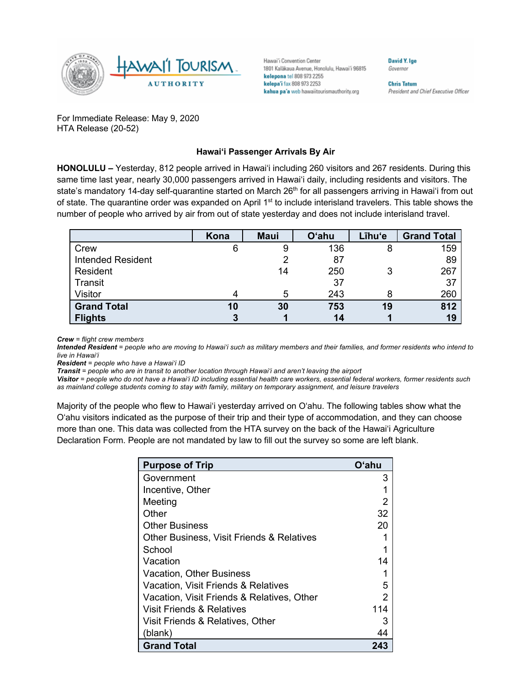

Hawai'i Convention Center 1801 Kalākaua Avenue, Honolulu, Hawai'i 96815 kelepona tel 808 973 2255 kelepa'i fax 808 973 2253 kahua pa'a web hawaiitourismauthority.org

Governor

**David Y. Ige** 

**Chris Tatum** President and Chief Executive Officer

For Immediate Release: May 9, 2020 HTA Release (20-52)

## **Hawai'i Passenger Arrivals By Air**

**HONOLULU –** Yesterday, 812 people arrived in Hawai'i including 260 visitors and 267 residents. During this same time last year, nearly 30,000 passengers arrived in Hawai'i daily, including residents and visitors. The state's mandatory 14-day self-quarantine started on March 26<sup>th</sup> for all passengers arriving in Hawai'i from out of state. The quarantine order was expanded on April 1<sup>st</sup> to include interisland travelers. This table shows the number of people who arrived by air from out of state yesterday and does not include interisland travel.

|                          | Kona | <b>Maui</b> | <b>O'ahu</b> | Līhu'e | <b>Grand Total</b> |
|--------------------------|------|-------------|--------------|--------|--------------------|
| Crew                     | 6    |             | 136          | 8      | 159                |
| <b>Intended Resident</b> |      |             | 87           |        | 89                 |
| Resident                 |      | 14          | 250          |        | 267                |
| Transit                  |      |             | 37           |        | 37                 |
| Visitor                  |      |             | 243          | 8      | 260                |
| <b>Grand Total</b>       | 10   | 30          | 753          | 19     | 812                |
| <b>Flights</b>           |      |             | 14           |        | 19                 |

*Crew = flight crew members*

*Intended Resident = people who are moving to Hawai'i such as military members and their families, and former residents who intend to live in Hawai'i* 

*Resident = people who have a Hawai'i ID*

*Transit = people who are in transit to another location through Hawai'i and aren't leaving the airport*

*Visitor = people who do not have a Hawai'i ID including essential health care workers, essential federal workers, former residents such as mainland college students coming to stay with family, military on temporary assignment, and leisure travelers*

Majority of the people who flew to Hawai'i yesterday arrived on O'ahu. The following tables show what the O'ahu visitors indicated as the purpose of their trip and their type of accommodation, and they can choose more than one. This data was collected from the HTA survey on the back of the Hawai'i Agriculture Declaration Form. People are not mandated by law to fill out the survey so some are left blank.

| <b>Purpose of Trip</b>                               | Oʻahu |
|------------------------------------------------------|-------|
| Government                                           | З     |
| Incentive, Other                                     |       |
| Meeting                                              |       |
| Other                                                | 32    |
| <b>Other Business</b>                                | 20    |
| <b>Other Business, Visit Friends &amp; Relatives</b> |       |
| School                                               |       |
| Vacation                                             | 14    |
| <b>Vacation, Other Business</b>                      |       |
| Vacation, Visit Friends & Relatives                  | 5     |
| Vacation, Visit Friends & Relatives, Other           |       |
| Visit Friends & Relatives                            | 114   |
| Visit Friends & Relatives, Other                     | З     |
| (blank)                                              | 44    |
| <b>Grand Total</b>                                   | 243   |